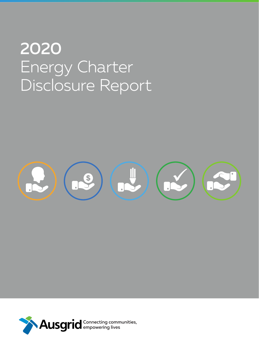# 2020 Energy Charter Disclosure Report



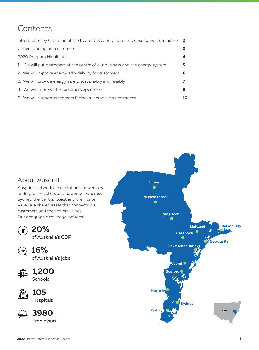# **Contents**

| Introduction by Chairman of the Board, CEO and Customer Consultative Committee 2 |   |
|----------------------------------------------------------------------------------|---|
| Understanding our customers                                                      |   |
| 2020 Program Highlights                                                          |   |
| 1. We will put customers at the centre of our business and the energy system     | 5 |
| 2. We will improve energy affordability for customers                            | 6 |
| 3. We will provide energy safely, sustainably and reliably                       |   |
| 4. We will improve the customer experience                                       | 9 |
| 5. We will support customers facing vulnerable circumstances                     |   |

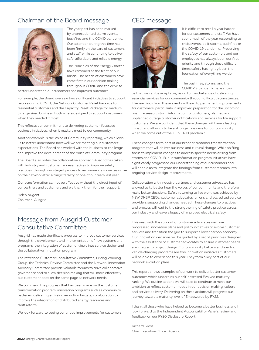## Chairman of the Board message



The year past has been marked by unprecedented storm events, bushfires and the COVID pandemic. Our attention during this time has been firmly on the care of customers and staff while continuing to deliver safe, affordable and reliable energy.

The Principles of the Energy Charter have remained at the front of our minds. The needs of customers have come first in our decision making throughout COVID and the drive to

better understand our customers has improved outcomes.

For example, the Board oversaw two significant initiatives to support people during COVID; the Network Customer Relief Package for residential customers and the Capacity Reset Package for medium to large sized business. Both where designed to support customers when they needed it most.

This reflects our commitment to delivering customer-focussed business initiatives, when it matters most to our community.

Another example is the Voice of Community reporting, which allows us to better understand how well we are meeting our customers' expectations. The Board has worked with the business to challenge and improve the development of the Voice of Community program.

The Board also notes the collaborative approach Ausgrid has taken with industry and customer representatives to improve safety practices, through our staged process to recommence some tasks live on the network after a tragic fatality of one of our team last year.

Our transformation cannot be effective without the direct input of our partners and customers and we thank them for their support.

Helen Nugent Chairman, Ausgrid

## Message from Ausgrid Customer Consultative Committee

Ausgrid has made significant progress to improve customer services through the development and implementation of new systems and programs, the integration of customer views into service design and the collaborative innovation program.

The refreshed Customer Consultative Committee, Pricing Working Group, the Technical Review Committee and the Network Innovation Advisory Committee provide valuable forums to drive collaborative governance and to allow decision making that will more effectively put customer needs on the same page as network needs.

We commend the progress that has been made on the customer transformation program, innovation programs such as community batteries, delivering emission reduction targets, collaboration to improve the integration of distributed energy resources and tariff reform.

We look forward to seeing continued improvements for customers.

## CEO message



It is difficult to recall a year harder for our customers and staff. We have spent much of the year responding to crisis events, be it storms, bushfires or the COVID-19 pandemic. Preserving the safety of our customers and our employees has always been our first priority and through these difficult times safety has rightly been the foundation of everything we do.

The bushfires, storms, and the COVID-19 pandemic have shown

us that we can be adaptable, rising to the challenge of delivering essential services for our community through difficult circumstances. The learnings from these events will lead to permanent improvements for customers, particularly in improved preparation for the upcoming bushfire season, storm information for customers, planned and unplanned outage customer notifications and services for life support customers. We are confident that these changes will have a lasting impact and allow us to be a stronger business for our community when we come out of the COVID-19 pandemic.

These changes form part of our broader customer transformation program that will deliver business and cultural change. While shifting focus to implement changes to address specific needs arising from storms and COVID-19, our transformation program initiatives have significantly progressed our understanding of our customers and will enable us to integrate the findings from customer research into ongoing service design improvements.

Collaboration with industry partners and customer advocates has allowed us to better hear the voices of our community and therefore make better decisions. Safely returning to live work was achieved by NSW DNSP CEOs, customer advocates, unions and accredited service providers supporting changes needed. These changes to practices and process will lead to the strengthening of safety practice across our industry and leave a legacy of improved electrical safety.

This year, with the support of customer advocates we have progressed innovation plans and policy initiatives to evolve customer services and transition the grid to support a lower carbon economy. Our innovation decisions will be guided by a set of principles designed with the assistance of customer advocates to ensure customer needs are integral to project design. Our community battery and electric vehicle charging programs are two innovation initiatives customers will be able to experience this year. They form a key part of our network evolution plans.

This report shows examples of our work to deliver better customer outcomes which underpins our self-assessed Evolved maturity ranking. We outline actions we will take to continue to meet our ambition to reflect customer needs in our decision making, culture and service delivery. Delivering on these actions will progress our journey toward a maturity level of Empowered by FY22.

I thank all those who have helped us become a better business and I look forward to the Independent Accountability Panel's review and feedback on our FY20 Disclosure Report.

Richard Gross Chief Executive Officer, Ausgrid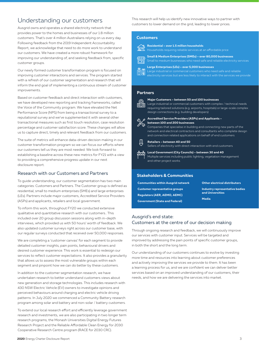## Understanding our customers

Ausgrid owns and operates a shared electricity network that provides power to the homes and businesses of our 1.8 million customers. That's over 4 million Australians relying on us every day. Following feedback from the 2019 Independent Accountability Report, we acknowledge that need to do more work to understand our customers. We have created a more robust framework for improving our understanding of, and seeking feedback from, specific customer groups.

Our newly formed customer transformation program is focused on improving customer interactions and services. The program started with a refresh of our customer segmentation and research that will inform the end goal of implementing a continuous stream of customer improvements.

Based on customer feedback and direct interaction with customers, we have developed new reporting and tracking frameworks, called the Voice of the Community program. We have elevated the Net Performance Score (NPS) from being a transactional survey to a reputational survey and we've supplemented it with several other transactional measures such as first touch resolution, case resolution percentage and customer satisfaction score. These changes will allow us to capture direct, timely and relevant feedback from our customers.

The suite of metrics will enhance data-driven decision making in our customer transformation program so we can focus our efforts where our customers tell us they are most needed. We look forward to establishing a baseline across these new metrics for FY21 with a view to providing a comprehensive progress update in our next disclosure report.

#### Research with our Customers and Partners

To guide understanding, our customer segmentation has two main categories: Customers and Partners. The Customer group is defined as residential, small to medium enterprises (SMEs) and large enterprises (LEs). Partners include major customers, Accredited Service Providers (ASPs) and applicants, retailers and local government.

To inform this work, throughout FY20 we conducted extensive qualitative and quantitative research with our customers.. This included over 20 group discussion sessions along with in-depth interviews, which provided us with 50 hours' worth of feedback. We also updated customer surveys right across our customer base, with our regular surveys conducted that received over 50,000 responses.

We are completing a 'customer canvas' for each segment to provide detailed customer insights, pain points, behavioural drivers and desired customer experience. This work is essential to redesign our services to reflect customer expectations. It also provides a granularity that allows us to assess the most vulnerable groups within each segment and pinpoint how we can do better by these customers.

In addition to the customer segmentation research, we have undertaken research to better understand customers views about new generation and storage technologies. This includes research with 430 NSW Electric Vehicle (EV) owners to investigate opinions and perceived behaviours around charging and electric vehicle driving patterns. In July 2020 we commenced a Community Battery research program among solar and battery and non-solar / battery customers.

To extend our local research effort and efficiently leverage government research and investments, we are also participating in two longer term research programs; the Monash Universities Digital Energy Futures Research Project and the Reliable Affordable Clean Energy for 2030 Cooperative Research Centre program (RACE for 2030 CRC).

This research will help us identify new innovative ways to partner with customers to lower demand on the grid, leading to lower prices.

#### **Customers**



**Residential – over 1.5 million households** Households requiring reliable services at an affordable price

**Small & Medium Enterprises (SMEs) – over 80,000 businesses**   $\overline{H}$ 

**Large Enterprises (LEs) – over 5,000 businesses** 

Large industrial or commercial customers who need safe and reliable

#### **Partners**



#### **Major Customers – between 50 and 100 businesses**

Large industrial or commercial customers with complex / technical needs requiring tailored solutions (e.g. airports, hospitals) or large-scale complex design connections (e.g. building developers)



#### **Accredited Service Providers (ASPs) and Applicants – between 100 and 200 businesses**

Companies that specialise in building and connecting new parts of the network and electrical contractors and consultants who complete design and connection related applications on behalf of end customers

#### **Retailers – between 40 and 50**

Sellers of electricity with direct interaction with end customers

**Local Government (City Councils) – between 30 and 40**  Multiple services including public lighting, vegetation management and other project works

#### **Stakeholders & Communities**

**Communities within Ausgrid network Customer representative groups Regulators (AER, AEMO, AEMC) Government (State and Federal)** 

**Other electrical distributors Industry representative bodies and Universities Media**

#### Ausgrid's end state: Customers at the centre of our decision making

Through ongoing research and feedback, we will continuously improve our services with customer input. Services will be targeted and improved by addressing the pain points of specific customer groups, in both the short and the long term.

Our understanding of our customers continues to evolve by investing more time and resources into learning about customer preferences and actively improving the services we provide to them. It has been a learning process for us, and we are confident we can deliver better services based on an improved understanding of our customers, their needs, and how we are delivering the services into market.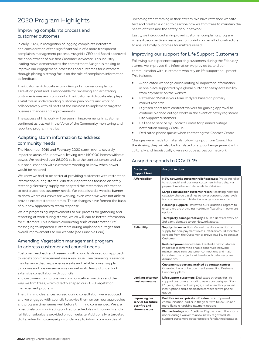## 2020 Program Highlights

#### Improving complaints process and customer outcomes

In early 2020, in recognition of lagging complaints indicators and consideration of the significant value of a more transparent complaints management process, Ausgrid's CEO and Board approved the appointment of our first Customer Advocate. This industryleading move demonstrates the commitment Ausgrid is making to improve our engagement, processes and outcomes for customers through placing a strong focus on the role of complaints information as feedback.

The Customer Advocate acts as Ausgrid's internal complaints escalation point and is responsible for reviewing and arbitrating customer issues and complaints. The Customer Advocate also plays a vital role in understanding customer pain points and working collaboratively with all parts of the business to implement targeted business changes and improvements.

The success of this work will be seen in improvements in customer sentiment as tracked in the Voice of the Community monitoring and reporting program metrics.

### Adapting storm information to address community needs

The November 2019 and February 2020 storm events severely impacted areas of our network leaving over 140,000 homes without power. We received over 26,000 calls to the contact centre and via our social channels with customers wanting to know when power would be restored.

We knew we had to be better at providing customers with restoration information during storms. Whilst our operations focused on safely restoring electricity supply, we adapted the restoration information to better address customer needs. We established a website banner to show where our crews are working, even when we were not able to provide exact restoration times. These changes have formed the basis of our new approach to storm response.

We are progressing improvements to our process for gathering and reporting of work during storms, which will lead to better information for customers. This includes conducting trials of automated SMS messaging to impacted customers during unplanned outages and overall improvements to our website (see Principle Four).

#### Amending Vegetation management program to address customer and council needs

Customer feedback and research with councils showed our approach to vegetation management was a key issue. Tree trimming is essential maintenance that helps ensure a safe and reliable power supply to homes and businesses across our network. Ausgrid undertook extensive consultation with councils

and customers to improve our communication practices and the way we trim trees, which directly shaped our 2020 vegetation management program.

The trimming clearances agreed during consultation were adopted and we engaged with councils to advise them on our new approaches and program timeframes well before trimming commenced. We are proactively communicating contractor schedules with councils and a full list of suburbs is provided on our website. Additionally, a targeted digital advertising campaign is underway to inform communities of

upcoming tree trimming in their streets. We have refreshed website text and created a video to describe how we trim trees to maintain the health of trees and the safety of our network.

Lastly, we introduced an improved customer complaints program, where Ausgrid actively manages complaints on behalf of contractors to ensure timely outcomes for matters raised.

#### Improving our support for Life Support Customers

Following our experience supporting customers during the February storms, we improved the information we provide to, and our communication with, customers who rely on life support equipment. This includes:

- A dedicated webpage consolidating all important information in one place supported by a global button for easy accessibility from anywhere on the website.
- Refreshed 'What is your Plan B' flyers based on primary market research.
- Digitised short form contract waivers for gaining approval to continue planned outage works in the event of newly registered Life Support customers.
- Call ahead service by Contact Centre for planned outage notification during COVID-19.
- Dedicated phone queue when contacting the Contact Centre.

Changes were made to materials following input from Council for the Ageing, they will also be translated to support engagement with culturally and linguistically diverse groups across our network.

#### Ausgrid responds to COVID-19

| Customer<br><b>Support Area</b>                     | <b>Ausgrid Actions</b>                                                                                                                                                                                                               |  |  |  |  |
|-----------------------------------------------------|--------------------------------------------------------------------------------------------------------------------------------------------------------------------------------------------------------------------------------------|--|--|--|--|
| <b>Affordability</b>                                | NSW networks customer relief package: Providing relief<br>to residential and business customers in hardship via<br>payment rebates and deferrals to Retailers.                                                                       |  |  |  |  |
|                                                     | Large consumption customer relief: Resetting network<br>capacity charge baselines to lower consumptions levels<br>for businesses with historically large consumption.                                                                |  |  |  |  |
|                                                     | Hardship Support: Reviewed our Hardship Program to<br>ensure we are providing maximum flexibility in payment<br>options.                                                                                                             |  |  |  |  |
|                                                     | Third party damage recovery: Paused debt recovery of<br>3rd party damage to our Network assets.                                                                                                                                      |  |  |  |  |
| <b>Reliability</b>                                  | Supply disconnection: Paused the disconnection of<br>supply for non-payment unless Retailers could ascertain<br>consent from the Customer or prove inability to contact<br>Customer.                                                 |  |  |  |  |
|                                                     | Reduced power disruptions: Created a new customer<br>impact assessment to enable continued network<br>maintenance, new customer connections and major<br>infrastructure projects with reduced customer power<br>disruptions.         |  |  |  |  |
|                                                     | Customer support maintained by contact centre:<br>Operated two contact centres by enacting Business<br>Continuity plans.                                                                                                             |  |  |  |  |
| Looking after our<br>most vulnerable                | Life support customers: Dedicated strategy for life<br>support customers including newly co-designed 'Plan<br>B' flyers, refreshed webpage, a call ahead for planned<br>interruptions and a dedicated contact centre phone<br>queue. |  |  |  |  |
| Improving our<br>service for future<br>bushfire and | Bushfire season private infrastructure: Improved<br>communication, earlier in the year, with follow-up and<br>more flexible hardship payment options.                                                                                |  |  |  |  |
| storm seasons                                       | Planned outage notifications: Digitisation of the short-<br>notice outage waiver to allow newly registered life<br>support customers better prepare for planned outages.                                                             |  |  |  |  |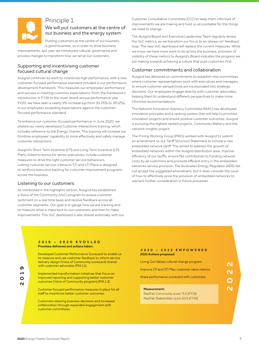

## Principle 1:

### We will put customers at the centre of our business and the energy system

Putting customers at the centre of our business is good business, so in order to drive business

improvements, last year we introduced cultural, governance and process changes to transform how we serve our customers.

#### Supporting and incentivising customer focused cultural change

Ausgrid continues its work to incentivise high performance, with a new customer-focused performance standard included in our performance development framework. This measures our employees' performance and success in meeting customer expectations. From the framework's introduction in FY19 to the most recent annual performance year FY20, we have seen a nearly 9% increase (up from 30.25% to 39.12%) in our employees exceeding expectations against the customerfocused performance standard.

To enhance our customer-focused performance, in June 2020, we piloted our newly developed Customer Interactions training, which includes reference to the Energy Charter. This training will increase our frontline employees' capability to more effectively and safely manage customer interactions.

Ausgrid's Short Term Incentive (STI) and Long-Term Incentive (LTI) Plans, linked to bonus for senior executives, include customer measures to drive the right customer service behaviours. Linking customer service criteria to STI and LTI Plans is designed to reinforce executive backing for customer improvement programs across the business.

#### Listening to our customers

As mentioned in the highlights section, Ausgrid has established a Voice of the Community (VoC) program to assess customer sentiment on a real time basis and receive feedback across all customer segments. Our goal is to gauge how we are tracking and to measure what is important to our customers and then to make improvements. This VoC dashboard is also shared externally with our

Customer Consultative Committee (CCC) to keep them informed of improvements we are making and hold us accountable for the things we need to change.

The Ausgrid Board and Executive Leadership Team regularly review the VoC metrics, as we transition our focus to an 'always on' feedback loop. The new VoC dashboard will replace the current measures. While we know we have more work to do across the business, provision of visibility of these metrics to Ausgrid's Board indicates the progress we are making towards achieving a culture that puts customers first.

#### Customer commitments and collaboration

Ausgrid has delivered on commitments to establish new committees where customer representatives work with executives and managers to ensure customer perspectives are incorporated into strategic decisions. Our employees engage directly with customer advocates, helping them to understand different perspectives to make more informed recommendations.

The Network Innovation Advisory Committee (NIAC) has developed innovation principles and a ranking system that will help to prioritise innovation projects and ensure positive customer outcomes. Ausgrid is pursuing the highest ranked projects, Community Battery and the network insights project.

The Pricing Working Group (PWG) worked with Ausgrid to submit an amendment to our Tariff Structure Statement to include a new embedded network tariff. This aimed to address the growth of embedded networks within the Ausgrid distribution area, improve efficiency of our tariffs, ensure fair contribution to funding network costs by all customers and promote efficient entry in the embedded networks service provision. The Australian Energy Regulator (AER) did not accept the suggested amendment, but it does consider the issue of how to effectively price the provision of embedded networks to warrant further consideration in future processes.

#### **Promises delivered and actions taken: 2019 – 2020 EVOVLED**

Developed Customer Performance Scorecard to enable us to measure and use customer feedback to inform service delivery design (Voice of Community scorecard) shared with customer advocates (PIA 1.1).

Implemented transformation initiatives that focus on improved reporting and supporting better customer outcomes (Voice of Community program) (PIA 1.3).

Customer focused performance measures in place for all staff to incentivise better customer outcomes.

Customers steering business decisions and increased collaboration through expanded engagement with customer committees.

#### **2021 Actions proposed: 2020 – 2022 EMPOWERED**

| Living Our Values cultural change program.       |                  |
|--------------------------------------------------|------------------|
| Improve LTI and STI Plan customer value metrics. | $\mathbf \Omega$ |
| Share performance scorecard with customers.      |                  |
| <b>Measurement:</b>                              |                  |
| RepTrak Community score 71.5 (FY19)              |                  |
| RepTrak Stakeholder score 63.5 (FY19)            |                  |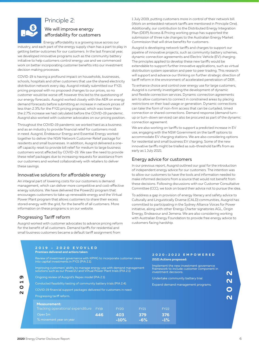

## Principle 2:

### We will improve energy affordability for customers

Energy affordability is a growing issue across our

industry, and each part of the energy supply chain has a part to play in getting better outcomes for our customers. In the last financial year, we developed innovative programs such as the community battery initiative to help customers control energy use and we commenced work on better incorporating customer benefits into our investment decision making processes.

COVID-19 is having a profound impact on households, businesses, schools, hospitals and other customers that use the shared electricity distribution network every day. Ausgrid initially submitted our FY21 pricing proposal with no proposed changes to our prices, so no customer would be worse off, however this led to the questioning of our energy forecasts. Ausgrid worked closely with the AER on energy demand forecasts before submitting an increase in network prices of less than 2.3% for the FY21 pricing proposal, which was lower than the 2.7% increase we had calculated before the COVID-19 pandemic. Ausgrid also worked with customer advocates on our pricing position.

Throughout the COVID-19 pandemic we worked hard as a business and as an industry to provide financial relief for customers most in need. Ausgrid, Endeavour Energy and Essential Energy worked together to deliver the NSW Network Customer Relief package for residents and small businesses. In addition, Ausgrid delivered a oneoff capacity reset to provide bill relief for medium to large business customers worst affected by COVID-19. We saw the need to provide these relief packages due to increasing requests for assistance from our customers and worked collaboratively with retailers to deliver these savings.

#### Innovative solutions for affordable energy

An integral part of lowering costs for our customers is demand management, which can deliver more competitive and cost-effective energy solutions. We have delivered the Power2U program that encourages customers to take up renewable energy and the Virtual Power Plant program that allows customers to share their excess stored energy with the grid, for the benefit of all customers. More information on these programs is on our website.

#### Progressing Tariff reform

Ausgrid worked with customer advocates to advance pricing reform for the benefit of all customers. Demand tariffs for residential and small business customers became a default tariff assignment from

1 July 2019, putting customers more in control of their network bill. (Work on embedded network tariffs are mentioned in Principle One). Additionally, our contribution to the Distributed Energy Integration Plan (DEIP) Access & Pricing working group has supported the submission of three rule changes to the Australian Energy Market Commission that will drive benefits for customers.

Ausgrid is developing network tariffs and charges to support our pipeline of innovative projects, such as community battery schemes, dynamic connection agreements and Electric Vehicle (EV) charging. The principles applied to develop these new tariffs would be extendable to support further innovative applications, such as virtual distribution system operation and peer to peer trading. This research will support and advance our thinking on further strategic direction of tariff reform in the environment of accelerated penetration of DER.

To enhance choice and control over energy use for large customers, Ausgrid is currently investigating the development of dynamic and flexible connection services. Dynamic connection agreements aim to allow customers to connect in constrained areas by placing restrictions on their load usage or generation. Dynamic connections can take the form of non-firm access that can be curtailed, timed connection or shared connections. Demand response (demand turnup or turn-down services) can also be procured as part of the dynamic connection agreement.

We are also working on tariffs to support a predicted increase in EV use, engaging with the NSW Government on the tariff options to accommodate EV charging stations. We are also considering options for residential and small business EV charging. Some of the new innovative tariffs might be trialled as sub-threshold tariffs from as early as 1 July 2021.

#### Energy advice for customers

In our previous report, Ausgrid outlined our goal for the introduction of independent energy advice for our customers. The intention was to allow our customers to have the tools and information needed to make informed decisions from a source that would not benefit from these decisions. Following discussions with our Customer Consultative Committee (CCC), we took on board their advice not to pursue the idea.

To address a gap in provision of energy literacy and safety advice to Culturally and Linguistically Diverse (CALD) communities, Ausgrid has committed to participating in the Sydney Alliance Voices for Power initiative, along with other Energy Charter signatories AGL, Origin Energy, Endeavour and Jemena. We are also considering working with Australian Energy Foundation to provide free energy advice to customers facing hardship.

| <b>Promises delivered and actions taken:</b><br>Review of investment governance with KPMG to incorporate customer views<br>into capital investments in FY21 (PIA 2.1).                                                                                                            |     |             |             |                                                                                                                | 2020-2022 EMPOWERED<br><b>2021 Actions proposed:</b> |  |
|-----------------------------------------------------------------------------------------------------------------------------------------------------------------------------------------------------------------------------------------------------------------------------------|-----|-------------|-------------|----------------------------------------------------------------------------------------------------------------|------------------------------------------------------|--|
| Improving customers' ability to manage energy use with demand management<br>solutions such as our Power2U and Virtual Power Plant trials (PIA 2.1).<br>Ongoing review of Ausgrid's Repex model (PIA 2.1).<br>Conducted feasibility testing of community battery trials (PIA 2.4). |     |             |             | Implement the new investment governance<br>framework to include customer component in<br>investment decisions. |                                                      |  |
|                                                                                                                                                                                                                                                                                   |     |             |             | Undertake community battery trial.                                                                             |                                                      |  |
|                                                                                                                                                                                                                                                                                   |     |             |             | Expand demand management programs.                                                                             |                                                      |  |
| COVID-19 financial support packages delivered for customers in need.                                                                                                                                                                                                              |     |             |             |                                                                                                                |                                                      |  |
| Progressing tariff reform.                                                                                                                                                                                                                                                        |     |             |             |                                                                                                                |                                                      |  |
| <b>Measurement:</b>                                                                                                                                                                                                                                                               |     |             |             |                                                                                                                |                                                      |  |
| Tracking operational expenditure FY19                                                                                                                                                                                                                                             |     | <b>FY20</b> | <b>FY21</b> | <b>FY22</b>                                                                                                    |                                                      |  |
| Opex \$m                                                                                                                                                                                                                                                                          | 446 | 403         | 379         | 376                                                                                                            |                                                      |  |
| % movement year on year                                                                                                                                                                                                                                                           |     | $-10%$      | $-6%$       | $-1%$                                                                                                          |                                                      |  |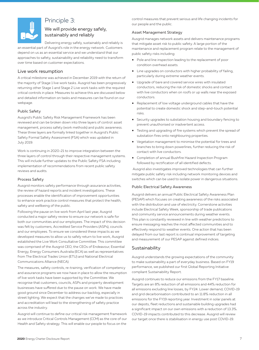

## Principle 3:

#### We will provide energy safely, sustainably and reliably

Delivering energy safely, sustainably and reliably is

an essential part of Ausgrid's role in the energy network. Customers depend on us as an essential service and we understand that our approaches to safety, sustainability and reliability need to transform over time based on customer expectations.

#### Live work resumption

A critical milestone was achieved in December 2019 with the return of the majority of Stage 1 live work tasks. Ausgrid has been progressively returning other Stage 1 and Stage 2 Live work tasks with the required critical controls in place. Measures to achieve this are discussed below and detailed information on tasks and measures can be found on our webpage.

#### Public Safety

Ausgrid's Public Safety Risk Management Framework has been reviewed and can be broken down into three layers of control: asset management, process safety (work methods) and public awareness. These three layers are formally linked together in Ausgrid's Public Safety Formal Safety Assessment (FSA) which was updated in July 2019.

Work is continuing in 2020-21 to improve integration between the three layers of control through their respective management systems. This will include further updates to the Public Safety FSA including implementation of recommendations from recent public safety reviews and audits.

#### Process Safety

Ausgrid monitors safety performance through assurance activities, the review of hazard reports and incident investigations. These processes enable the identification of improvement opportunities to enhance work practice control measures that protect the health, safety and wellbeing of the public.

Following the pause on live work from April last year, Ausgrid conducted a major safety review to ensure our network is safe for both our communities and our employees. The impact of this decision was felt by customers, Accredited Service Providers (ASPs), councils and our employees. To ensure we considered these impacts as we developed measures to allow us to safely return to live work, Ausgrid established the Live Work Consultative Committee. This committee was comprised of the Ausgrid CEO, the CEOs of Endeavour, Essential Energy, Energy Consumers Australia (ECA) as well as representatives from The Electrical Trades Union (ETU) and National Electrical Communications Alliance (NECA).

The measures, safety controls, re-training, verification of competency and assurance programs we now have in place to allow the resumption of live work tasks have been supported by the Committee. We recognise that customers, councils, ASPs and property development businesses have suffered due to the pause on work. We have made good ground since December to address our backlog, especially in street lighting. We expect that the changes we've made to practices and accreditation will lead to the strengthening of safety practice across the industry.

Ausgrid will continue to define our critical risk management framework as we introduce Critical Controls Management (CCM) as the core of our Health and Safety strategy. This will enable our people to focus on the

control measures that prevent serious and life changing incidents for our people and the public.

#### Asset Management Strategy

Ausgrid manages network assets and delivers maintenance programs that mitigate asset risk to public safety. A large portion of the maintenance and replacement program relate to the management of public safety risks including:

- Pole and line inspection leading to the replacement of poor condition overhead assets.
- Line upgrades on conductors with higher probability of failing, particularly during extreme weather events.
- Upgrade of bare and covered service wires with insulated conductors, reducing the risk of domestic shocks and contact with live conductors when on roofs or up walls near the exposed conductors.
- Replacement of low voltage underground cables that have the potential to create domestic shock and step-and-touch potential risks.
- Security upgrades to substation housing and boundary fencing to prevent unauthorised or inadvertent access.
- Testing and upgrading of fire systems which prevent the spread of substation fires onto neighbouring properties.
- Vegetation management to minimise the potential for trees and branches to bring down powerlines, further reducing the risk of contact with live conductors.
- Completion of annual Bushfire Hazard Inspection Program followed by rectification of all identified defects.

 Ausgrid also investigates improved technologies that can further mitigate public safety risk including network monitoring devices and switches which can be used to isolate power in dangerous situations.

#### Public Electrical Safety Awareness

Ausgrid delivers an annual Public Electrical Safety Awareness Plan (PESAP) which focuses on creating awareness of the risks associated with the distribution and use of electricity. Cornerstone activities include Electrical Safety Week, sponsorship of trade publications and community service announcements during weather events. This plan is constantly reviewed in line with weather predictions to ensure messaging reaches the most affected communities and to effectively respond to weather events. One action that has been delayed from our last report is continual improvement of targeting and measurement of our PESAP against defined indices.

#### Sustainability

Ausgrid understands the growing expectations of the community to make sustainability a part of everyday business. Based on FY19 performance, we published our first Global Reporting Initiative compliant Sustainability Report.

Ausgrid continues to reduce our emissions from the FY17 baseline. Targets are an 8% reduction of all emissions and 44% reduction for all emissions excluding line losses, by FY24. Lower demand, COVID-19 and grid decarbonisation contributed to an 11.8% reduction in all emissions for the FY19 reporting year. Investment in solar panels at our depots, fleet reductions and sustainable building upgrades had a significant impact on our own emissions with a reduction of 13.3%. COVID-19 impacts contributed to this decrease. Ausgrid will review our target once there is stabilisation in energy use post COVID-19.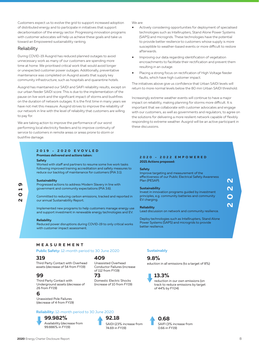Customers expect us to evolve the grid to support increased adoption of distributed energy and to participate in initiatives that support decarbonisation of the energy sector. Progressing innovation programs with customer advocates will help us achieve these goals and take us toward an Empowered sustainability ranking.

#### **Reliability**

During COVID-19 Ausgrid has reduced planned outages to avoid unnecessary work as many of our customers are spending more time at home. We prioritised critical work that would avoid longer or unexpected customer power outages. Additionally, preventative maintenance was completed on Ausgrid assets that supply key community infrastructure, such as hospitals and quarantine hotels.

Ausgrid has maintained our SAIDI and SAIFI reliability results, except on our urban feeder SAIDI score. This is due to the implementation of the pause on live work and the significant impact of storms and bushfires on the duration of network outages. It is the first time in many years we have not met this measure. Ausgrid strives to improve the reliability of our network in line with the level of reliability that customers are willing to pay for.

We are taking action to improve the performance of our worst performing local electricity feeders and to improve continuity of service to customers in remote areas or areas prone to storm or bushfire damage.

#### **Promises delivered and actions taken: 2019 - 2020 EVOVLED**

#### **Safety**

Worked with staff and partners to resume some live work tasks following improved training accreditation and safety measures to reduce our backlog of maintenance for customers (PIA 3.1).

#### **Sustainability**

Progressed actions to address Modern Slavery in line with government and community expectations (PIA 3.6).

Committed to reducing carbon emissions, tracked and reported in our annual Sustainability Report.

Implemented new programs to help customers manage energy use and support investment in renewable energy technologies and EV.

#### **Reliability**

Reduced power disruptions during COVID-19 to only critical works with customer impact assessment.

We are:

- Actively considering opportunities for deployment of specialised technologies such as Intellirupters, Stand Alone Power Systems (SAPS) and microgrids. These technologies have the potential to provide better resilience to customers whose supply is more susceptible to weather-based events or more difficult to restore afterwards.
- Improving our data regarding identification of vegetation encroachments to facilitate their rectification and prevent them resulting in an outage.
- Placing a strong focus on rectification of High Voltage feeder faults, which have high customer impact.

The initiatives above give us confidence that Urban SAIDI levels will return to more normal levels below the 80 min Urban SAIDI threshold.

Increasingly extreme weather events will continue to have a major impact on reliability, making planning for storms more difficult. It is important that we collaborate with customer advocates and engage with our customers, as well as governments and regulators, to agree on the solutions for delivering a more resilient network capable of flexibly responding to extreme weather. Ausgrid will be an active participant in these discussions.

#### **2021 Actions proposed: 2020 - 2022 EMPOWERED**

#### **Safety**

Improve targeting and measurement of the effectiveness of our Public Electrical Safety Awareness Plan (PESAP).

#### **Sustainability**

Invest in innovation programs guided by investment principles, e.g. community batteries and community EV charging.

#### **Reliability**

Lead discussion on network and community resilience.

Deploy technologies such as Intellirupters, Stand Alone Power Systems (SAPS) and microgrids to provide better resilience.

#### **MEASUREMENT**

#### **Public Safety:** 12-month period to 30 June 2020

#### **319**

Third Party Contact with Overhead assets (decrease of 54 from FY19)

#### **99**

Third Party Contact with Underground assets (decrease of 26 from FY19)

#### **6**

Unassisted Pole Failures (decrease of 4 from FY19)

#### **Reliability:** 12-month period to 30 June 2020

## **99.982%**



## **409**

**73** Unassisted Overhead Conductor Failures (increase of 112 from FY19)

Domestic Electric Shocks (increase of 10 from FY19)

**92.18** 

74.69 in FY19)

SAIDI (23% increase from

#### **Sustainably**

#### **9.8%**

eduction in all emissions (to a target of 8%)



reduction in our own emissions (on track to reduce emissions by target of 44% by FY24)

**0.68**  SAIFI (3% increase from 0.66 in FY19)

**2022**

# **2019**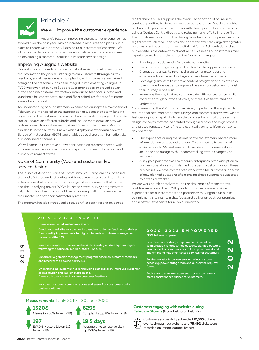

## Principle 4:

#### We will improve the customer experience

Ausgrid's focus on improving the customer experience has evolved over the past year, with an increase in resources and plans put in place to ensure we are actively listening to our customers' concerns. We introduced a dedicated Customer Transformation team who are focused on developing a customer-centric future state service design.

#### Improving Ausgrid's website

Our website continues to improve to make it easier for customers to find the information they need. Listening to our customers (through survey feedback, social media, general complaints, and customer research) and acting on their feedback, has been integral in implementing changes. In FY20 we reworked our Life Support Customer pages, improved power outage and major storm information, introduced feedback surveys and launched a helicopter patrol map and flight schedules for bushfire prone areas of our network.

An understanding of our customers' experiences during the November and February storms has led to the introduction of a dedicated storm landing page. During the next major storm to hit our network, the page will provide status updates on affected suburbs and include more detail on how we restore power through Frequently Asked Question documents. Ausgrid has also launched a Storm Tracker which displays weather data from the Bureau of Meteorology (BOM) and enables us to share this information via our social media channels.

We will continue to improve our website based on customer needs, with future improvements currently underway on our power outage map and our service request forms.

#### Voice of Community (VoC) and customer led service design

The launch of Ausgrid's Voice of Community (VoC) program has increased the level of shared understanding and transparency across all internal and external stakeholders of performance against key 'moments that matter' and the underlying drivers. We've launched several survey programs that help inform how best to conduct timely follow-up with customers when their matter has not been satisfactorily resolved.

The program has also introduced a focus on first touch resolution across

digital channels. This supports the continued adoption of online selfservice capabilities to deliver services to our customers. We do this while continuing to provide our customers with the opportunity and access to call our Contact Centre directly and reducing hand-offs to improve first touch customer resolution. The driving force behind our improvements to digital first touch resolution was ahe desire for, after they urged for greater customer-centricity through our digital platforms. Acknowledging that our website is the gateway to almost all service needs our customers may experience, we have implemented the following changes:

- Bringing our social media feed onto our website
- Dedicated webpage and global button for life support customers
- Changes underway to revamp the customer map reporting experience for all hazard, outage and maintenance requests
- Leveraging analytics to improve content navigation and create links to associated webpages to improve the ease for customers to finish their journey in one visit
- Improving the way that we communicate with our customers in digital content, through our tone of voice, to make it easier to read and understand

Complementing the VoC program received, in particular through regular reputational Net Promoter Score surveys and customer interviews, we are fast developing a capability to rapidly turn feedback into future service design concepts that can be created through a customer design process and piloted repeatedly to refine and eventually bring to life in our day to day operations.

- Our experience during the storms showed customers wanted more information on outage restorations. This has led us to testing of a trial service to SMS information to residential customers during an unplanned outage with updates tracking status changes until restoration.
- A key pain point for small to medium enterprises is the disruption to business operations from planned outages. To better support these businesses, we have commenced work with SME customers, on a trial of new planned outage notifications for these customers supported by a website tracker.

We are working relentlessly through the challenges of major storms, bushfire season and the COVID pandemic to create more positive experiences for our customers and partners with Ausgrid. Our public commitment is to maintain that focus and deliver on both our promises and a better experience for all on our network.

#### **2019 – 2020 EVOVLED**

#### **Promises delivered and actions taken:**

Continuous website improvements based on customer feedback to deliver functionality improvements for digital channels and claims management processes (PIA 4.2).

- **2019**
- Improved response time and reduced the backlog of streetlight outages, following the pause on live work tasks (PIA 4.2).
- Enhanced Vegetation Management program based on customer feedback and research with councils (PIA 4.3).

Understanding customer needs through direct research, improved customer segmentation and implementation of a framework to track and monitor customer feedback.

Improved customer communications and ease of our customers doing business with us.

#### **2021 Actions proposed: 2020-2022 EMPOWERED**

Continue service design improvements based on segmentation for unplanned outages, planned outages, new connections and services to local government and implementing new or enhanced services for customers.

Further website improvements to reflect customer needs e.g. power outage map and our service request forms.

Evolve complaints management process to create a more consistent experience for customers.

**2022**

**Measurement:** 1 July 2019 - 30 June 2020

**15208**  Claims (up 65% from FY19)



**19.5 days** Average time to resolve claim (up 22.8% from FY19)

**6295** 

## **Customers engaging with website during February Storms** (from Feb 8 to Feb 27)



Customers successfully submitted **12,505** outage events through our website and **75,492** clicks were recorded on 'report outage' feature.

from FY19)

**197**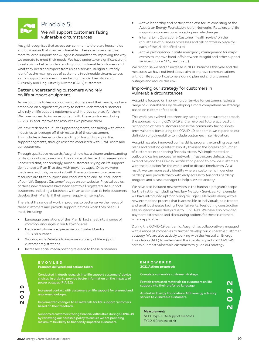

## Principle 5:

#### We will support customers facing vulnerable circumstances

Ausgrid recognises that across our community there are households and businesses that may be vulnerable. These customers require more tailored support and Ausgrid is committed to improving the way we operate to meet their needs. We have undertaken significant work to establish a better understanding of our vulnerable customers and what they need and expect from us as a service. Ausgrid currently identifies the main groups of customers in vulnerable circumstances as life support customers, those facing financial hardship and Culturally and Linguistically Diverse (CALD) customers.

#### Better understanding customers who rely on life support equipment

As we continue to learn about our customers and their needs, we have embarked on a significant journey to better understand customers who rely on life support equipment and improve services for them. We have worked to increase contact with these customers during COVID-19 and improve the resources we provide them.

We have redefined our Life Support segments, consulting with other industries to leverage off their research of these customers. This includes a deeper understanding of Ausgrid's varying life support segments, through research conducted with CPAP users and our customers.

Through qualitative research, Ausgrid now has a clearer understanding of life support customers and their choice of device. This research also uncovered that, concerningly, most customers relying on life support do not have a 'Plan B' to deal with power outages. Once we were made aware of this, we worked with these customers to ensure our resources are fit for purpose and conducted an end-to-end update of our 'Life Support Customer' pages on our website. Physical copies of these new resources have been sent to all registered life support customers, including a factsheet with an action plan to help customers develop their 'Plan B' if their power supply is interrupted.

There is still a range of work in progress to better serve the needs of these customers and provide support in times when they need us most, including:

- Language translations of the 'Plan B' fact sheet into a range of common languages in our Network Area
- Dedicated phone line queue via our Contact Centre 13 13 88 number
- Working with Retailers to improve accuracy of life support customer registrations
- Increased social media posting relevant to these customers

#### **Promises delivered and actions taken: EVOVLED**

Conducted in depth research into life support customers' device choices, in order to provide better information on the impacts of power outages (PIA 5.2).

- Increased contact with customers on life support for planned and unplanned outages.
- Implemented changes to all materials for life support customers based on their feedback.

Supported customers facing financial difficulties during COVID-19 by reviewing our hardship policy to ensure we are providing maximum flexibility to financially impacted customers.

- Active leadership and participation of a forum consisting of the Australian Energy Foundation, other Networks, Retailers and life support customers on advocating key rule changes
- Internal joint Operations-Customer 'health review' on the robustness of business processes and risk controls in place for each of the 14 identified rules
- Active participation in state emergency management for major events to improve hand-offs between Ausgrid and other support services (police, SES, health etc.).

We recognise we had an increase in NECF breaches this year and the measures we have outlined above aim to improve communications with our life support customers during planned and unplanned outages and reduce this risk.

#### Improving our strategy for customers in vulnerable circumstances

Ausgrid is focused on improving our service for customers facing a range of vulnerabilities by developing a more comprehensive strategy based on customer feedback.

This work has evolved into three key categories: our current approach, the approach during COVID-19 and an evolved future approach. In recognition of new customers across the community facing shortterm vulnerabilities during the COVID-19 pandemic, we expanded our definition of vulnerability to include customers in self-isolation.

Ausgrid has also improved our hardship program, extending payment plans and creating greater flexibility to assist the increasing number of customers experiencing financial stress. We implemented an outbound calling process for network infrastructure defects that extend beyond the 60-day rectification period to provide customers with the quotation for the works and to discuss timeframes. As a result, we can more easily identify where a customer is in genuine hardship and provide them with early access to Ausgrid's hardship program and a case manager to help alleviate anxiety.

We have also included new services in the hardship program's scope for the first time, including Ancillary Network Services. For example we have introduced upfront billing for Tiger Tails works along with a new exemptions process that is accessible to individuals, sole traders and small businesses facing Tiger Tail rental fees during construction site shutdowns and delays due to COVID-19. We have also provided payment extensions and discounting options for these customers where applicable.

During the COVID-19 pandemic, Ausgrid has collaboratively engaged with a range of companies to further develop our vulnerable customer strategy. We are also actively working with the Australian Energy Foundation (AEF) to understand the specific impacts of COVID-19 across our most vulnerable customers to guide our strategy.

#### **2021 Actions proposed: EMPOWERED**

Complete vulnerable customer strategy.

Provide translated materials for customers on life support into their preferred language.

Australian Energy Foundation (AEF) energy advisory service to vulnerable customers.

#### **Measurement:**

NECF Type 1 Life support breaches FY20: 5 (increase of 4)

**2019**

**2022**